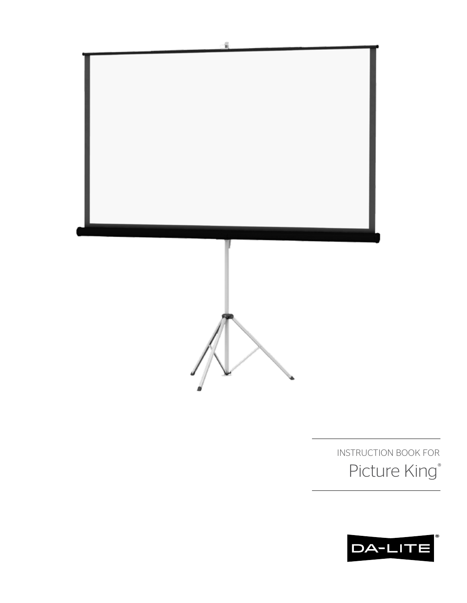

INSTRUCTION BOOK FOR Picture King®

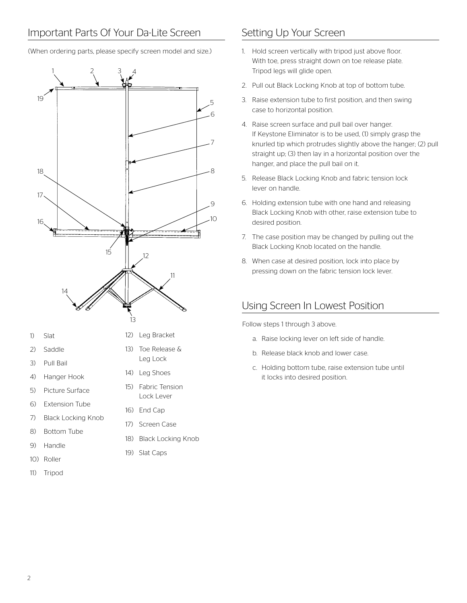(When ordering parts, please specify screen model and size.)

# 1 2 3 4 5 6 7 8  $\overline{Q}$ 10 12 13 14 15 16 17 18 19 11

- 1) Slat
- 2) Saddle
- 3) Pull Bail
- 4) Hanger Hook
- 5) Picture Surface
- 6) Extension Tube
- 7) Black Locking Knob
- 8) Bottom Tube
- 9) Handle
- 10) Roller
- 11) Tripod
- 12) Leg Bracket
- 13) Toe Release & Leg Lock
- 14) Leg Shoes
- 15) Fabric Tension Lock Lever
- 16) End Cap
- 17) Screen Case
- 18) Black Locking Knob
- 19) Slat Caps

- 1. Hold screen vertically with tripod just above floor. With toe, press straight down on toe release plate. Tripod legs will glide open.
- 2. Pull out Black Locking Knob at top of bottom tube.
- 3. Raise extension tube to first position, and then swing case to horizontal position.
- 4. Raise screen surface and pull bail over hanger. If Keystone Eliminator is to be used, (1) simply grasp the knurled tip which protrudes slightly above the hanger; (2) pull straight up; (3) then lay in a horizontal position over the hanger, and place the pull bail on it.
- 5. Release Black Locking Knob and fabric tension lock lever on handle.
- 6. Holding extension tube with one hand and releasing Black Locking Knob with other, raise extension tube to desired position.
- 7. The case position may be changed by pulling out the Black Locking Knob located on the handle.
- 8. When case at desired position, lock into place by pressing down on the fabric tension lock lever.

## Using Screen In Lowest Position

Follow steps 1 through 3 above.

- a. Raise locking lever on left side of handle.
- b. Release black knob and lower case.
- c. Holding bottom tube, raise extension tube until it locks into desired position.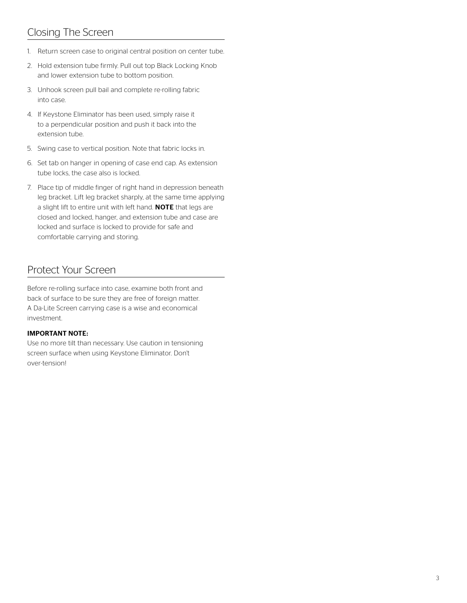## Closing The Screen

- 1. Return screen case to original central position on center tube.
- 2. Hold extension tube firmly. Pull out top Black Locking Knob and lower extension tube to bottom position.
- 3. Unhook screen pull bail and complete re-rolling fabric into case.
- 4. If Keystone Eliminator has been used, simply raise it to a perpendicular position and push it back into the extension tube.
- 5. Swing case to vertical position. Note that fabric locks in.
- 6. Set tab on hanger in opening of case end cap. As extension tube locks, the case also is locked.
- 7. Place tip of middle finger of right hand in depression beneath leg bracket. Lift leg bracket sharply, at the same time applying a slight lift to entire unit with left hand. NOTE that legs are closed and locked, hanger, and extension tube and case are locked and surface is locked to provide for safe and comfortable carrying and storing.

## Protect Your Screen

Before re-rolling surface into case, examine both front and back of surface to be sure they are free of foreign matter. A Da-Lite Screen carrying case is a wise and economical investment.

### IMPORTANT NOTE:

Use no more tilt than necessary. Use caution in tensioning screen surface when using Keystone Eliminator. Don't over-tension!